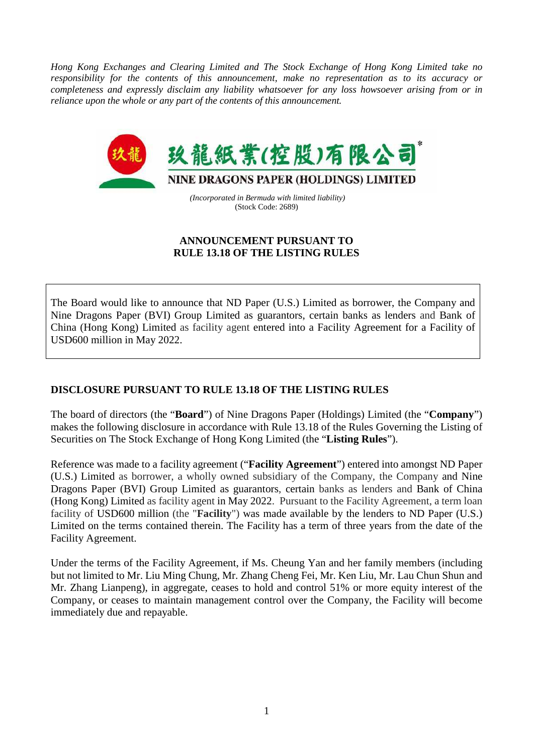*Hong Kong Exchanges and Clearing Limited and The Stock Exchange of Hong Kong Limited take no responsibility for the contents of this announcement, make no representation as to its accuracy or completeness and expressly disclaim any liability whatsoever for any loss howsoever arising from or in reliance upon the whole or any part of the contents of this announcement.*



 *(Incorporated in Bermuda with limited liability)*  (Stock Code: 2689)

## **ANNOUNCEMENT PURSUANT TO RULE 13.18 OF THE LISTING RULES**

The Board would like to announce that ND Paper (U.S.) Limited as borrower, the Company and Nine Dragons Paper (BVI) Group Limited as guarantors, certain banks as lenders and Bank of China (Hong Kong) Limited as facility agent entered into a Facility Agreement for a Facility of USD600 million in May 2022.

## **DISCLOSURE PURSUANT TO RULE 13.18 OF THE LISTING RULES**

The board of directors (the "**Board**") of Nine Dragons Paper (Holdings) Limited (the "**Company**") makes the following disclosure in accordance with Rule 13.18 of the Rules Governing the Listing of Securities on The Stock Exchange of Hong Kong Limited (the "**Listing Rules**").

Reference was made to a facility agreement ("**Facility Agreement**") entered into amongst ND Paper (U.S.) Limited as borrower, a wholly owned subsidiary of the Company, the Company and Nine Dragons Paper (BVI) Group Limited as guarantors, certain banks as lenders and Bank of China (Hong Kong) Limited as facility agent in May 2022. Pursuant to the Facility Agreement, a term loan facility of USD600 million (the "**Facility**") was made available by the lenders to ND Paper (U.S.) Limited on the terms contained therein. The Facility has a term of three years from the date of the Facility Agreement.

Under the terms of the Facility Agreement, if Ms. Cheung Yan and her family members (including but not limited to Mr. Liu Ming Chung, Mr. Zhang Cheng Fei, Mr. Ken Liu, Mr. Lau Chun Shun and Mr. Zhang Lianpeng), in aggregate, ceases to hold and control 51% or more equity interest of the Company, or ceases to maintain management control over the Company, the Facility will become immediately due and repayable.